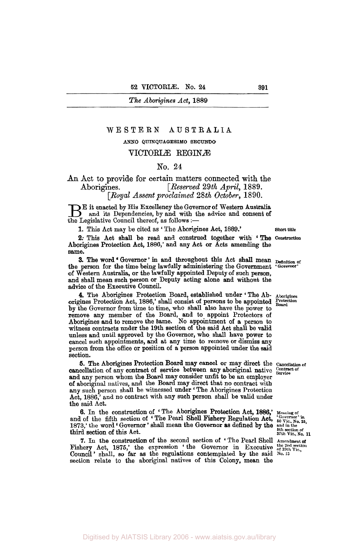The Aborigines Act, **1889** 

### WESTERN **AUSTRALIA**

### **ANNO QUINQUAGESIMO SECUNDO**

## VICTORIÆ REGINÆ

#### No. **24**

# **An** Act to provide for certain matters connected with the Aborigines. *[Reserved 29th April, 1889.] [Royal Assent proclaimed* 28th *October,* 1890.

**B** it enacted by His Excellency the Governor of Western Australia<br>and its Dependencies, by and with the advice and consent of the Legislative Council thereof, as follows :-

**1.** This Act may be cited as ' The Aborigines Act, 1889.' **Short title** 

**2:** This Act shall be read and construed together with Aborigines Protection Act, 1886,' and any Act or Acts amending the same. The **construction** 

1e.<br>**3.** The word 'Governor' in and throughout this Act shall mean **Definition of**<br>indicates and continues the Governor' the person for the time being lawfully administering the Government of Western Australia, or the lawfully appointed Deputy of such **person,**  and shall mean such person or Deputy acting alone and without the advice of the Executive Council.

**4.** The Aborigines Protection Board, established under ' The Ab- **Aborigines**  origines Protection Act, 1886,' shall consist of persons to be appointed **Protection Board**  by the Governor from time to time, who shall also have the power to remove any member of the Board, and to appoint Protectors of Aborigines and to remove the same. No appointment of a person to witness contracts under the 19th section of the said Act shall be valid unless and until approved by the Governor, who shall have power to cancel such appointments, and at any the to remove or **dismiss** any person from the office or position of a person appointed under the said section.

cancellation of any contract of service between any aboriginal native *Contract of* and any person whom the Board may consider unfit to be *an* employer of aboriginal natives, and the **Board** may direct that no contract with of aboriginal natives, and the Board may direct that no contract with<br>any such person shall be witnessed under ' The Aborigines Protection<br>Act, 1886,' and no contract with any such person shall be valid under the said Act. **5.** The Aborigines Protection Board may cancel or may direct the **Cancellation of** 

**6.** In the construction of 'The Aborigines Protection Act, 1886,' Meaning of the fifth section of 'The Pearl Shell Fishery Regulation Act,  $\frac{^{60 \text{ vernor in}}{50 \text{ V} \text{ic. No. 25}}$ ,  $\frac{3}{100 \text{ V} \text{ic. No. 25}}$ ,  $\frac{3}{100 \text{ V}}$ , and of the fifth section of 'The Pearl Shell Fishery Regulation Act, 1873,' the word 'Governor' shall mean the Governor as defined by the third section of this Act.

**7.** In the construction of the second section of 'The Pearl Shell Amendment of hery Act, 1875,' the expression 'the Governor in Executive the 2nd section of 39th Vic., Fishery Act, 1875,' the expression ' the Governor in Executive the 2nd Council ' shall, so far as the regulations contemplated by the said No. 13 section relate to the aboriginal natives of this Colony, mean the

Digitised by AIATSIS Library 2006 - www.aiatsis.gov.au/library